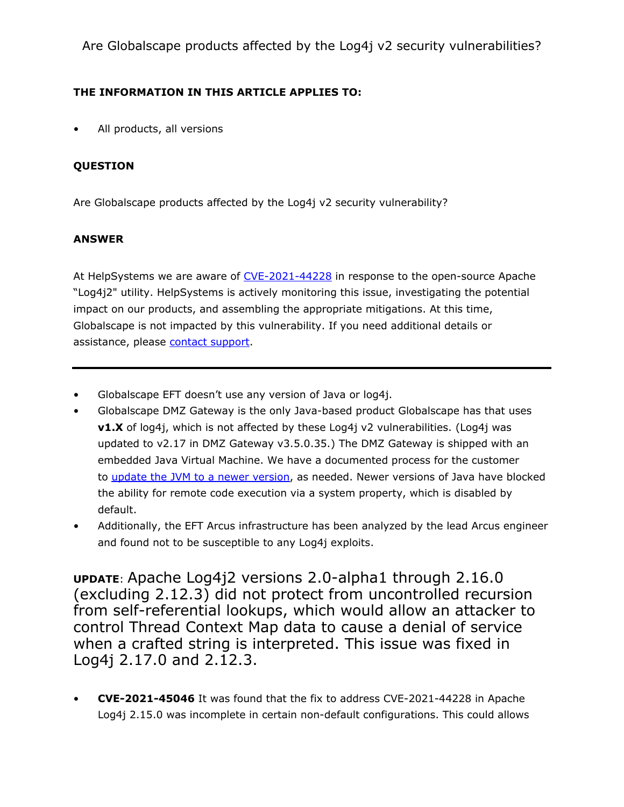Are Globalscape products affected by the Log4j v2 security vulnerabilities?

## THE INFORMATION IN THIS ARTICLE APPLIES TO:

All products, all versions

## QUESTION

Are Globalscape products affected by the Log4j v2 security vulnerability?

## ANSWER

At HelpSystems we are aware of [CVE-2021-44228](https://nvd.nist.gov/vuln/detail/CVE-2021-44228) in response to the open-source Apache "Log4j2" utility. HelpSystems is actively monitoring this issue, investigating the potential impact on our products, and assembling the appropriate mitigations. At this time, Globalscape is not impacted by this vulnerability. If you need additional details or assistance, please [contact](https://www.globalscape.com/support/contact-us) [support.](https://www.globalscape.com/support/contact-us)

- Globalscape EFT doesn't use any version of Java or log4j.
- Globalscape DMZ Gateway is the only Java-based product Globalscape has that uses v1.X of log4j, which is not affected by these Log4j v2 vulnerabilities. (Log4j was updated to v2.17 in DMZ Gateway v3.5.0.35.) The DMZ Gateway is shipped with an embedded Java Virtual Machine. We have a documented process for the customer [to](https://kb.globalscape.com/Knowledgebase/11544/Updating-the-Oracle-JRE-for-DMZ-Gateway) [update](https://kb.globalscape.com/Knowledgebase/11544/Updating-the-Oracle-JRE-for-DMZ-Gateway) [the](https://kb.globalscape.com/Knowledgebase/11544/Updating-the-Oracle-JRE-for-DMZ-Gateway) [JVM](https://kb.globalscape.com/Knowledgebase/11544/Updating-the-Oracle-JRE-for-DMZ-Gateway) to [a](https://kb.globalscape.com/Knowledgebase/11544/Updating-the-Oracle-JRE-for-DMZ-Gateway) [newer](https://kb.globalscape.com/Knowledgebase/11544/Updating-the-Oracle-JRE-for-DMZ-Gateway) [version](https://kb.globalscape.com/Knowledgebase/11544/Updating-the-Oracle-JRE-for-DMZ-Gateway), as needed. Newer versions of Java have blocked the ability for remote code execution via a system property, which is disabled by default.
- Additionally, the EFT Arcus infrastructure has been analyzed by the lead Arcus engineer and found not to be susceptible to any Log4j exploits.

UPDATE: Apache Log4j2 versions 2.0-alpha1 through 2.16.0 (excluding 2.12.3) did not protect from uncontrolled recursion from self-referential lookups, which would allow an attacker to control Thread Context Map data to cause a denial of service when a crafted string is interpreted. This issue was fixed in Log4j 2.17.0 and 2.12.3.

• CVE-2021-45046 It was found that the fix to address CVE-2021-44228 in Apache Log4j 2.15.0 was incomplete in certain non-default configurations. This could allows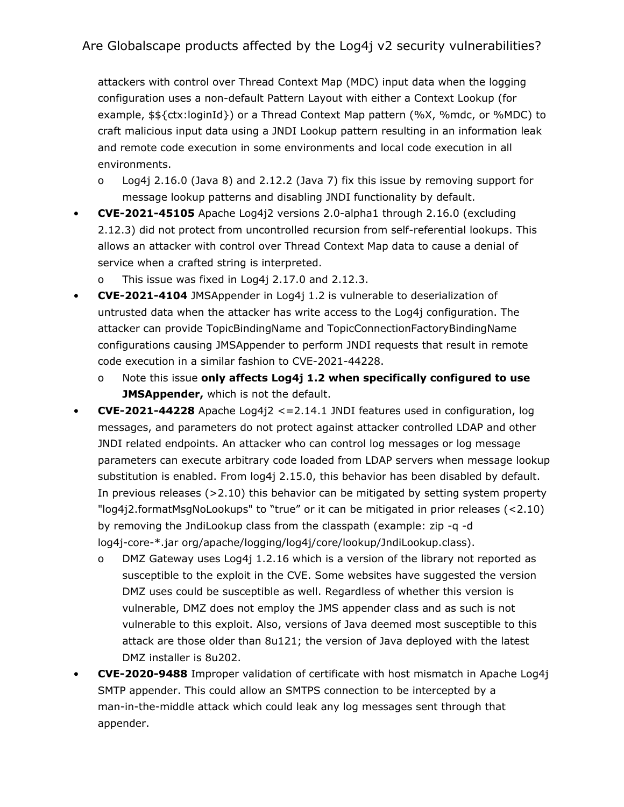## Are Globalscape products affected by the Log4j v2 security vulnerabilities?

attackers with control over Thread Context Map (MDC) input data when the logging configuration uses a non-default Pattern Layout with either a Context Lookup (for example, \$\${ctx:loginId}) or a Thread Context Map pattern (%X, %mdc, or %MDC) to craft malicious input data using a JNDI Lookup pattern resulting in an information leak and remote code execution in some environments and local code execution in all environments.

- o Log4j 2.16.0 (Java 8) and 2.12.2 (Java 7) fix this issue by removing support for message lookup patterns and disabling JNDI functionality by default.
- CVE-2021-45105 Apache Log4j2 versions 2.0-alpha1 through 2.16.0 (excluding 2.12.3) did not protect from uncontrolled recursion from self-referential lookups. This allows an attacker with control over Thread Context Map data to cause a denial of service when a crafted string is interpreted.
	- This issue was fixed in Log4j  $2.17.0$  and  $2.12.3$ .
- CVE-2021-4104 JMSAppender in Log4j 1.2 is vulnerable to deserialization of untrusted data when the attacker has write access to the Log4j configuration. The attacker can provide TopicBindingName and TopicConnectionFactoryBindingName configurations causing JMSAppender to perform JNDI requests that result in remote code execution in a similar fashion to CVE-2021-44228.
	- o Note this issue only affects Log4j 1.2 when specifically configured to use JMSAppender, which is not the default.
- CVE-2021-44228 Apache Log4j2 <= 2.14.1 JNDI features used in configuration, log messages, and parameters do not protect against attacker controlled LDAP and other JNDI related endpoints. An attacker who can control log messages or log message parameters can execute arbitrary code loaded from LDAP servers when message lookup substitution is enabled. From log4j 2.15.0, this behavior has been disabled by default. In previous releases (>2.10) this behavior can be mitigated by setting system property "log4j2.formatMsgNoLookups" to "true" or it can be mitigated in prior releases (<2.10) by removing the JndiLookup class from the classpath (example: zip -q -d log4j-core-\*.jar org/apache/logging/log4j/core/lookup/JndiLookup.class).
	- o DMZ Gateway uses Log4j 1.2.16 which is a version of the library not reported as susceptible to the exploit in the CVE. Some websites have suggested the version DMZ uses could be susceptible as well. Regardless of whether this version is vulnerable, DMZ does not employ the JMS appender class and as such is not vulnerable to this exploit. Also, versions of Java deemed most susceptible to this attack are those older than 8u121; the version of Java deployed with the latest DMZ installer is 8u202.
- CVE-2020-9488 Improper validation of certificate with host mismatch in Apache Log4j SMTP appender. This could allow an SMTPS connection to be intercepted by a man-in-the-middle attack which could leak any log messages sent through that appender.